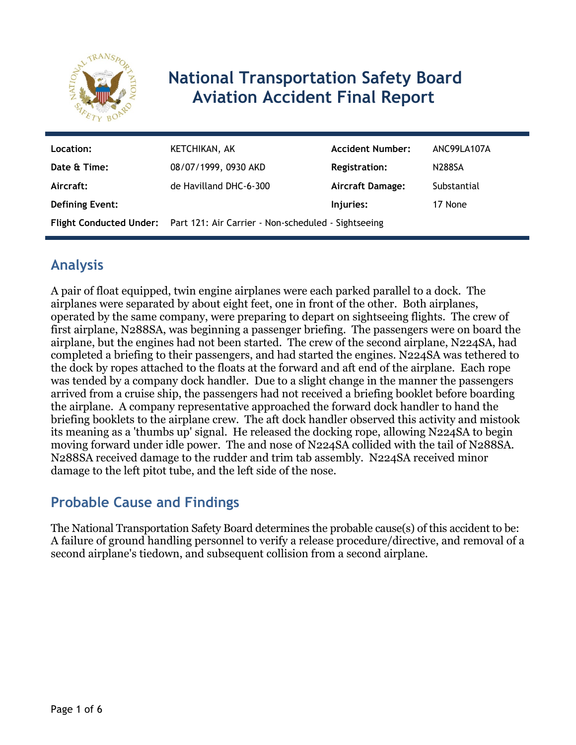

# **National Transportation Safety Board Aviation Accident Final Report**

| Location:              | KETCHIKAN, AK                                                               | <b>Accident Number:</b> | ANC99LA107A   |
|------------------------|-----------------------------------------------------------------------------|-------------------------|---------------|
| Date & Time:           | 08/07/1999, 0930 AKD                                                        | <b>Registration:</b>    | <b>N288SA</b> |
| Aircraft:              | de Havilland DHC-6-300                                                      | <b>Aircraft Damage:</b> | Substantial   |
| <b>Defining Event:</b> |                                                                             | Injuries:               | 17 None       |
|                        | Flight Conducted Under: Part 121: Air Carrier - Non-scheduled - Sightseeing |                         |               |

## **Analysis**

A pair of float equipped, twin engine airplanes were each parked parallel to a dock. The airplanes were separated by about eight feet, one in front of the other. Both airplanes, operated by the same company, were preparing to depart on sightseeing flights. The crew of first airplane, N288SA, was beginning a passenger briefing. The passengers were on board the airplane, but the engines had not been started. The crew of the second airplane, N224SA, had completed a briefing to their passengers, and had started the engines. N224SA was tethered to the dock by ropes attached to the floats at the forward and aft end of the airplane. Each rope was tended by a company dock handler. Due to a slight change in the manner the passengers arrived from a cruise ship, the passengers had not received a briefing booklet before boarding the airplane. A company representative approached the forward dock handler to hand the briefing booklets to the airplane crew. The aft dock handler observed this activity and mistook its meaning as a 'thumbs up' signal. He released the docking rope, allowing N224SA to begin moving forward under idle power. The and nose of N224SA collided with the tail of N288SA. N288SA received damage to the rudder and trim tab assembly. N224SA received minor damage to the left pitot tube, and the left side of the nose.

### **Probable Cause and Findings**

The National Transportation Safety Board determines the probable cause(s) of this accident to be: A failure of ground handling personnel to verify a release procedure/directive, and removal of a second airplane's tiedown, and subsequent collision from a second airplane.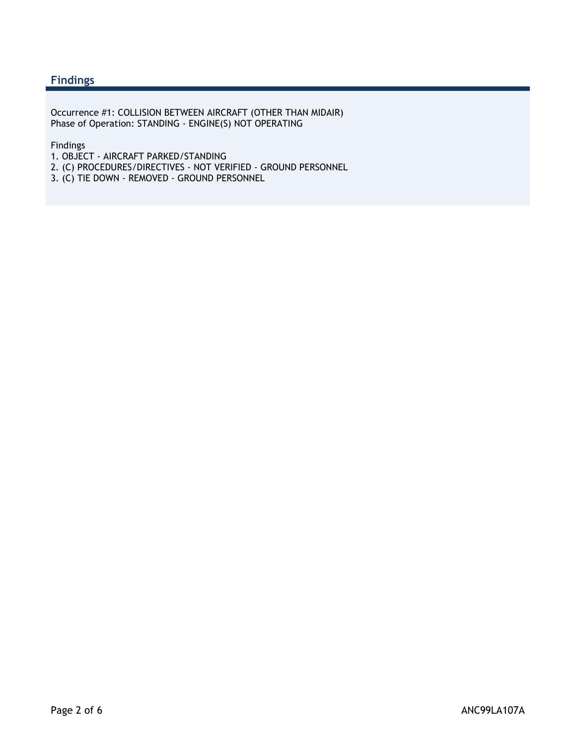#### **Findings**

Occurrence #1: COLLISION BETWEEN AIRCRAFT (OTHER THAN MIDAIR) Phase of Operation: STANDING - ENGINE(S) NOT OPERATING

#### Findings

- 1. OBJECT AIRCRAFT PARKED/STANDING
- 2. (C) PROCEDURES/DIRECTIVES NOT VERIFIED GROUND PERSONNEL
- 3. (C) TIE DOWN REMOVED GROUND PERSONNEL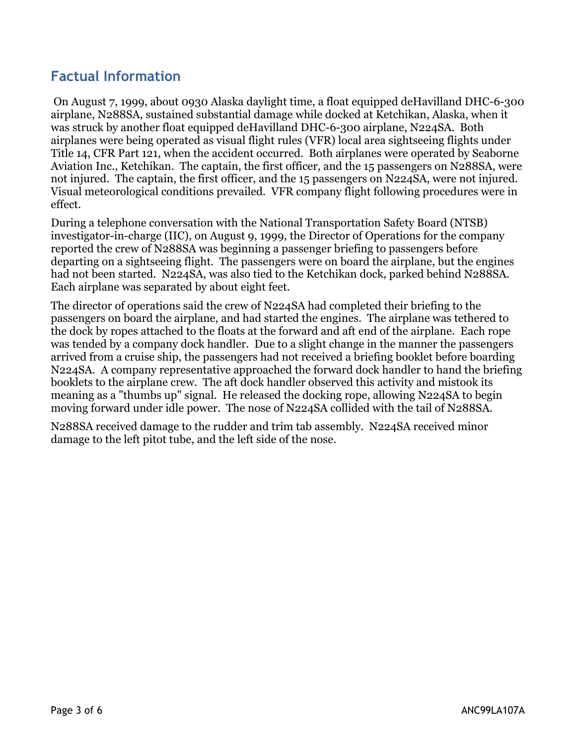### **Factual Information**

 On August 7, 1999, about 0930 Alaska daylight time, a float equipped deHavilland DHC-6-300 airplane, N288SA, sustained substantial damage while docked at Ketchikan, Alaska, when it was struck by another float equipped deHavilland DHC-6-300 airplane, N224SA. Both airplanes were being operated as visual flight rules (VFR) local area sightseeing flights under Title 14, CFR Part 121, when the accident occurred. Both airplanes were operated by Seaborne Aviation Inc., Ketchikan. The captain, the first officer, and the 15 passengers on N288SA, were not injured. The captain, the first officer, and the 15 passengers on N224SA, were not injured. Visual meteorological conditions prevailed. VFR company flight following procedures were in effect.

During a telephone conversation with the National Transportation Safety Board (NTSB) investigator-in-charge (IIC), on August 9, 1999, the Director of Operations for the company reported the crew of N288SA was beginning a passenger briefing to passengers before departing on a sightseeing flight. The passengers were on board the airplane, but the engines had not been started. N224SA, was also tied to the Ketchikan dock, parked behind N288SA. Each airplane was separated by about eight feet.

The director of operations said the crew of N224SA had completed their briefing to the passengers on board the airplane, and had started the engines. The airplane was tethered to the dock by ropes attached to the floats at the forward and aft end of the airplane. Each rope was tended by a company dock handler. Due to a slight change in the manner the passengers arrived from a cruise ship, the passengers had not received a briefing booklet before boarding N224SA. A company representative approached the forward dock handler to hand the briefing booklets to the airplane crew. The aft dock handler observed this activity and mistook its meaning as a "thumbs up" signal. He released the docking rope, allowing N224SA to begin moving forward under idle power. The nose of N224SA collided with the tail of N288SA.

N288SA received damage to the rudder and trim tab assembly. N224SA received minor damage to the left pitot tube, and the left side of the nose.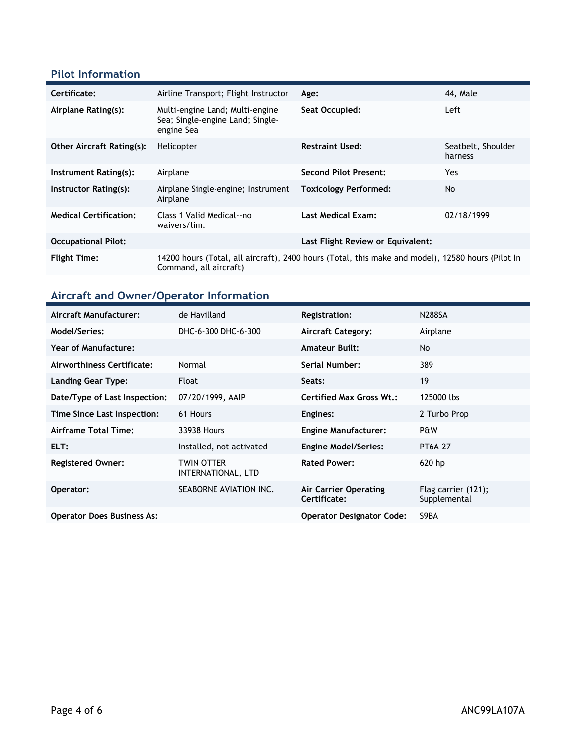#### **Pilot Information**

| Certificate:                     | Airline Transport; Flight Instructor                                              | Age:                                                                                              | 44. Male                      |
|----------------------------------|-----------------------------------------------------------------------------------|---------------------------------------------------------------------------------------------------|-------------------------------|
| Airplane Rating(s):              | Multi-engine Land; Multi-engine<br>Sea; Single-engine Land; Single-<br>engine Sea | Seat Occupied:                                                                                    | Left                          |
| <b>Other Aircraft Rating(s):</b> | Helicopter                                                                        | <b>Restraint Used:</b>                                                                            | Seatbelt, Shoulder<br>harness |
| Instrument Rating(s):            | Airplane                                                                          | Second Pilot Present:                                                                             | Yes.                          |
| Instructor Rating(s):            | Airplane Single-engine; Instrument<br>Airplane                                    | <b>Toxicology Performed:</b>                                                                      | No.                           |
| <b>Medical Certification:</b>    | Class 1 Valid Medical--no<br>waivers/lim.                                         | <b>Last Medical Exam:</b>                                                                         | 02/18/1999                    |
| <b>Occupational Pilot:</b>       |                                                                                   | Last Flight Review or Equivalent:                                                                 |                               |
| <b>Flight Time:</b>              | Command, all aircraft)                                                            | 14200 hours (Total, all aircraft), 2400 hours (Total, this make and model), 12580 hours (Pilot In |                               |

## **Aircraft and Owner/Operator Information**

| Aircraft Manufacturer:            | de Havilland                     | <b>Registration:</b>                  | <b>N288SA</b>                          |
|-----------------------------------|----------------------------------|---------------------------------------|----------------------------------------|
| Model/Series:                     | DHC-6-300 DHC-6-300              | <b>Aircraft Category:</b>             | Airplane                               |
| <b>Year of Manufacture:</b>       |                                  | <b>Amateur Built:</b>                 | <b>No</b>                              |
| Airworthiness Certificate:        | Normal                           | Serial Number:                        | 389                                    |
| Landing Gear Type:                | Float                            | Seats:                                | 19                                     |
| Date/Type of Last Inspection:     | 07/20/1999, AAIP                 | <b>Certified Max Gross Wt.:</b>       | 125000 lbs                             |
| Time Since Last Inspection:       | 61 Hours                         | Engines:                              | 2 Turbo Prop                           |
| Airframe Total Time:              | 33938 Hours                      | <b>Engine Manufacturer:</b>           | P&W                                    |
| ELT:                              | Installed, not activated         | <b>Engine Model/Series:</b>           | <b>PT6A-27</b>                         |
| <b>Registered Owner:</b>          | TWIN OTTER<br>INTERNATIONAL, LTD | <b>Rated Power:</b>                   | $620$ hp                               |
| Operator:                         | SEABORNE AVIATION INC.           | Air Carrier Operating<br>Certificate: | Flag carrier $(121)$ ;<br>Supplemental |
| <b>Operator Does Business As:</b> |                                  | <b>Operator Designator Code:</b>      | S9BA                                   |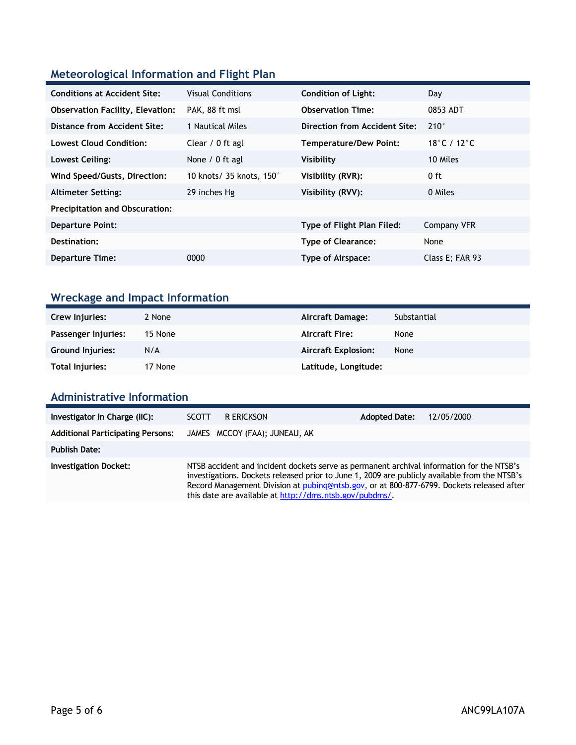### **Meteorological Information and Flight Plan**

| <b>Conditions at Accident Site:</b>     | <b>Visual Conditions</b> | <b>Condition of Light:</b>    | Day             |
|-----------------------------------------|--------------------------|-------------------------------|-----------------|
| <b>Observation Facility, Elevation:</b> | PAK, 88 ft msl           | <b>Observation Time:</b>      | 0853 ADT        |
| Distance from Accident Site:            | 1 Nautical Miles         | Direction from Accident Site: | $210^\circ$     |
| <b>Lowest Cloud Condition:</b>          | Clear / 0 ft agl         | Temperature/Dew Point:        | 18°C / 12°C     |
| Lowest Ceiling:                         | None / 0 ft agl          | Visibility                    | 10 Miles        |
| Wind Speed/Gusts, Direction:            | 10 knots/ 35 knots, 150° | Visibility (RVR):             | 0 ft            |
| <b>Altimeter Setting:</b>               | 29 inches Hg             | Visibility (RVV):             | 0 Miles         |
| <b>Precipitation and Obscuration:</b>   |                          |                               |                 |
| <b>Departure Point:</b>                 |                          | Type of Flight Plan Filed:    | Company VFR     |
| Destination:                            |                          | <b>Type of Clearance:</b>     | None            |
| <b>Departure Time:</b>                  | 0000                     | Type of Airspace:             | Class E; FAR 93 |

## **Wreckage and Impact Information**

| Crew Injuries:          | 2 None  | Aircraft Damage:           | Substantial |
|-------------------------|---------|----------------------------|-------------|
| Passenger Injuries:     | 15 None | <b>Aircraft Fire:</b>      | None        |
| <b>Ground Injuries:</b> | N/A     | <b>Aircraft Explosion:</b> | None        |
| Total Injuries:         | 17 None | Latitude, Longitude:       |             |

#### **Administrative Information**

| Investigator In Charge (IIC):            | r erickson<br><b>SCOTT</b>                                                                                                                                                                                                                                                                                                                         | <b>Adopted Date:</b><br>12/05/2000 |
|------------------------------------------|----------------------------------------------------------------------------------------------------------------------------------------------------------------------------------------------------------------------------------------------------------------------------------------------------------------------------------------------------|------------------------------------|
| <b>Additional Participating Persons:</b> | JAMES MCCOY (FAA); JUNEAU, AK                                                                                                                                                                                                                                                                                                                      |                                    |
| <b>Publish Date:</b>                     |                                                                                                                                                                                                                                                                                                                                                    |                                    |
| <b>Investigation Docket:</b>             | NTSB accident and incident dockets serve as permanent archival information for the NTSB's<br>investigations. Dockets released prior to June 1, 2009 are publicly available from the NTSB's<br>Record Management Division at pubing@ntsb.gov, or at 800-877-6799. Dockets released after<br>this date are available at http://dms.ntsb.gov/pubdms/. |                                    |